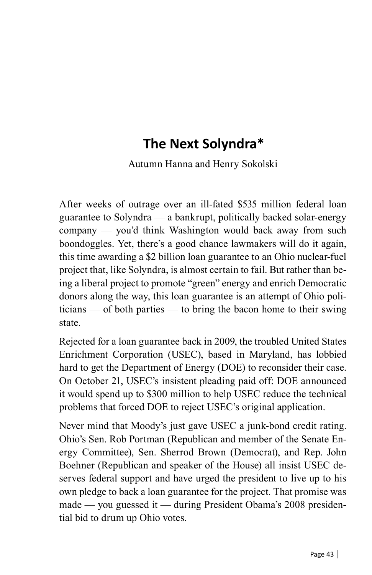## **The Next Solyndra\***

Autumn Hanna and Henry Sokolski

After weeks of outrage over an ill-fated \$535 million federal loan guarantee to Solyndra — a bankrupt, politically backed solar-energy company — you'd think Washington would back away from such boondoggles. Yet, there's a good chance lawmakers will do it again, this time awarding a \$2 billion loan guarantee to an Ohio nuclear-fuel project that, like Solyndra, is almost certain to fail. But rather than being a liberal project to promote "green" energy and enrich Democratic donors along the way, this loan guarantee is an attempt of Ohio politicians — of both parties — to bring the bacon home to their swing state.

Rejected for a loan guarantee back in 2009, the troubled United States Enrichment Corporation (USEC), based in Maryland, has lobbied hard to get the Department of Energy (DOE) to reconsider their case. On October 21, USEC's insistent pleading paid off: DOE announced it would spend up to \$300 million to help USEC reduce the technical problems that forced DOE to reject USEC's original application.

Never mind that Moody's just gave USEC a junk-bond credit rating. Ohio's Sen. Rob Portman (Republican and member of the Senate Energy Committee), Sen. Sherrod Brown (Democrat), and Rep. John Boehner (Republican and speaker of the House) all insist USEC deserves federal support and have urged the president to live up to his own pledge to back a loan guarantee for the project. That promise was made — you guessed it — during President Obama's 2008 presidential bid to drum up Ohio votes.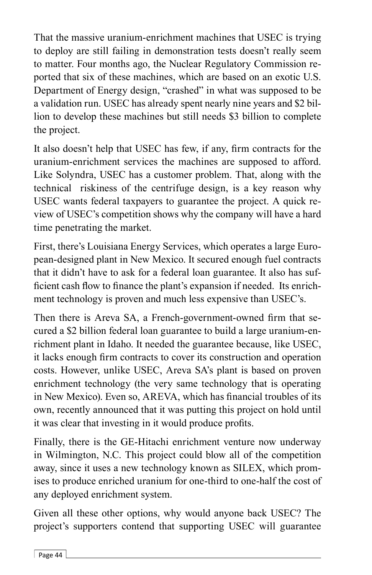That the massive uranium-enrichment machines that USEC is trying to deploy are still failing in demonstration tests doesn't really seem to matter. Four months ago, the Nuclear Regulatory Commission reported that six of these machines, which are based on an exotic U.S. Department of Energy design, "crashed" in what was supposed to be a validation run. USEC has already spent nearly nine years and \$2 billion to develop these machines but still needs \$3 billion to complete the project.

It also doesn't help that USEC has few, if any, firm contracts for the uranium-enrichment services the machines are supposed to afford. Like Solyndra, USEC has a customer problem. That, along with the technical riskiness of the centrifuge design, is a key reason why USEC wants federal taxpayers to guarantee the project. A quick review of USEC's competition shows why the company will have a hard time penetrating the market.

First, there's Louisiana Energy Services, which operates a large European-designed plant in New Mexico. It secured enough fuel contracts that it didn't have to ask for a federal loan guarantee. It also has sufficient cash flow to finance the plant's expansion if needed. Its enrichment technology is proven and much less expensive than USEC's.

Then there is Areva SA, a French-government-owned firm that secured a \$2 billion federal loan guarantee to build a large uranium-enrichment plant in Idaho. It needed the guarantee because, like USEC, it lacks enough firm contracts to cover its construction and operation costs. However, unlike USEC, Areva SA's plant is based on proven enrichment technology (the very same technology that is operating in New Mexico). Even so, AREVA, which has financial troubles of its own, recently announced that it was putting this project on hold until it was clear that investing in it would produce profits.

Finally, there is the GE-Hitachi enrichment venture now underway in Wilmington, N.C. This project could blow all of the competition away, since it uses a new technology known as SILEX, which promises to produce enriched uranium for one-third to one-half the cost of any deployed enrichment system.

Given all these other options, why would anyone back USEC? The project's supporters contend that supporting USEC will guarantee